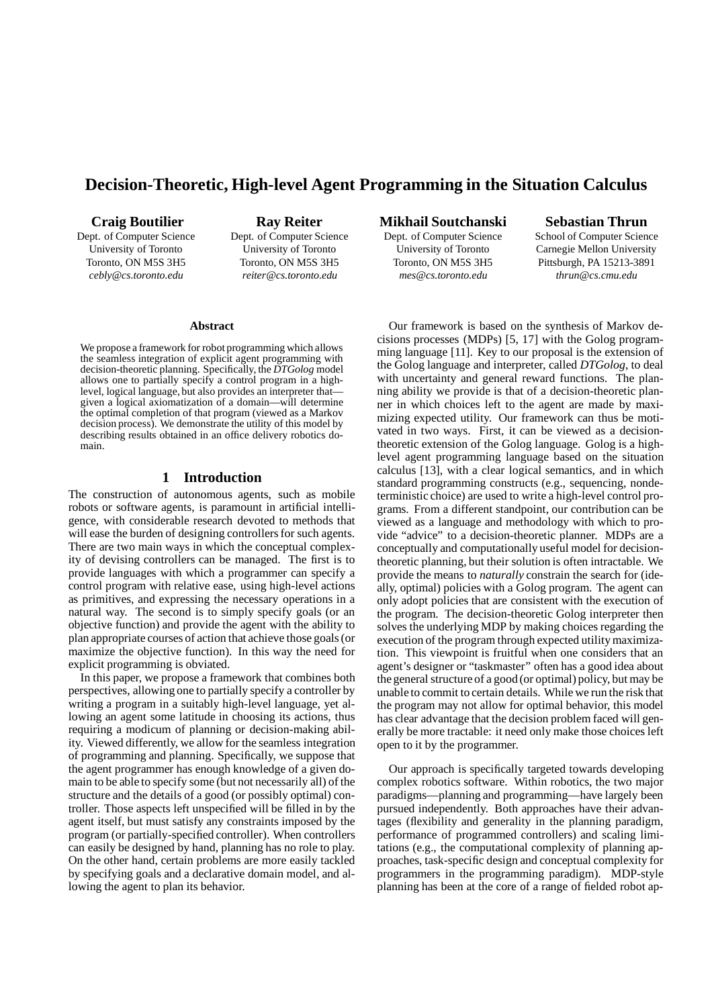# **Decision-Theoretic, High-level Agent Programming in the Situation Calculus**

**Craig Boutilier**

Dept. of Computer Science University of Toronto Toronto, ON M5S 3H5 *cebly@cs.toronto.edu*

**Ray Reiter** Dept. of Computer Science University of Toronto Toronto, ON M5S 3H5 *reiter@cs.toronto.edu*

### **Mikhail Soutchanski**

Dept. of Computer Science University of Toronto Toronto, ON M5S 3H5 *mes@cs.toronto.edu*

**Sebastian Thrun**

School of Computer Science Carnegie Mellon University Pittsburgh, PA 15213-3891 *thrun@cs.cmu.edu*

### **Abstract**

We propose a framework for robot programming which allows the seamless integration of explicit agent programming with decision-theoretic planning. Specifically, the *DTGolog* model allows one to partially specify a control program in a highlevel, logical language, but also provides an interpreter that given a logical axiomatization of a domain—will determine the optimal completion of that program (viewed as a Markov decision process). We demonstrate the utility of this model by describing results obtained in an office delivery robotics domain.

# **1 Introduction**

The construction of autonomous agents, such as mobile robots or software agents, is paramount in artificial intelligence, with considerable research devoted to methods that will ease the burden of designing controllers for such agents. There are two main ways in which the conceptual complexity of devising controllers can be managed. The first is to provide languages with which a programmer can specify a control program with relative ease, using high-level actions as primitives, and expressing the necessary operations in a natural way. The second is to simply specify goals (or an objective function) and provide the agent with the ability to plan appropriate courses of action that achieve those goals(or maximize the objective function). In this way the need for explicit programming is obviated.

In this paper, we propose a framework that combines both perspectives, allowing one to partially specify a controller by writing a program in a suitably high-level language, yet allowing an agent some latitude in choosing its actions, thus requiring a modicum of planning or decision-making ability. Viewed differently, we allow for the seamless integration of programming and planning. Specifically, we suppose that the agent programmer has enough knowledge of a given domain to be able to specify some (but not necessarily all) of the structure and the details of a good (or possibly optimal) controller. Those aspects left unspecified will be filled in by the agent itself, but must satisfy any constraints imposed by the program (or partially-specified controller). When controllers can easily be designed by hand, planning has no role to play. On the other hand, certain problems are more easily tackled by specifying goals and a declarative domain model, and allowing the agent to plan its behavior.

Our framework is based on the synthesis of Markov decisions processes (MDPs) [5, 17] with the Golog programming language [11]. Key to our proposal is the extension of the Golog language and interpreter, called *DTGolog*, to deal with uncertainty and general reward functions. The planning ability we provide is that of a decision-theoretic planner in which choices left to the agent are made by maximizing expected utility. Our framework can thus be motivated in two ways. First, it can be viewed as a decisiontheoretic extension of the Golog language. Golog is a highlevel agent programming language based on the situation calculus [13], with a clear logical semantics, and in which standard programming constructs (e.g., sequencing, nondeterministic choice) are used to write a high-level control programs. From a different standpoint, our contribution can be viewed as a language and methodology with which to provide "advice" to a decision-theoretic planner. MDPs are a conceptually and computationally useful model for decisiontheoretic planning, but their solution is often intractable. We provide the means to *naturally* constrain the search for (ideally, optimal) policies with a Golog program. The agent can only adopt policies that are consistent with the execution of the program. The decision-theoretic Golog interpreter then solves the underlying MDP by making choices regarding the execution of the program through expected utilitymaximization. This viewpoint is fruitful when one considers that an agent's designer or "taskmaster" often has a good idea about the general structure of a good (or optimal) policy, but may be unable to commit to certain details. While we run the risk that the program may not allow for optimal behavior, this model has clear advantage that the decision problem faced will generally be more tractable: it need only make those choices left open to it by the programmer.

Our approach is specifically targeted towards developing complex robotics software. Within robotics, the two major paradigms—planning and programming—have largely been pursued independently. Both approaches have their advantages (flexibility and generality in the planning paradigm, performance of programmed controllers) and scaling limitations (e.g., the computational complexity of planning approaches, task-specific design and conceptual complexity for programmers in the programming paradigm). MDP-style planning has been at the core of a range of fielded robot ap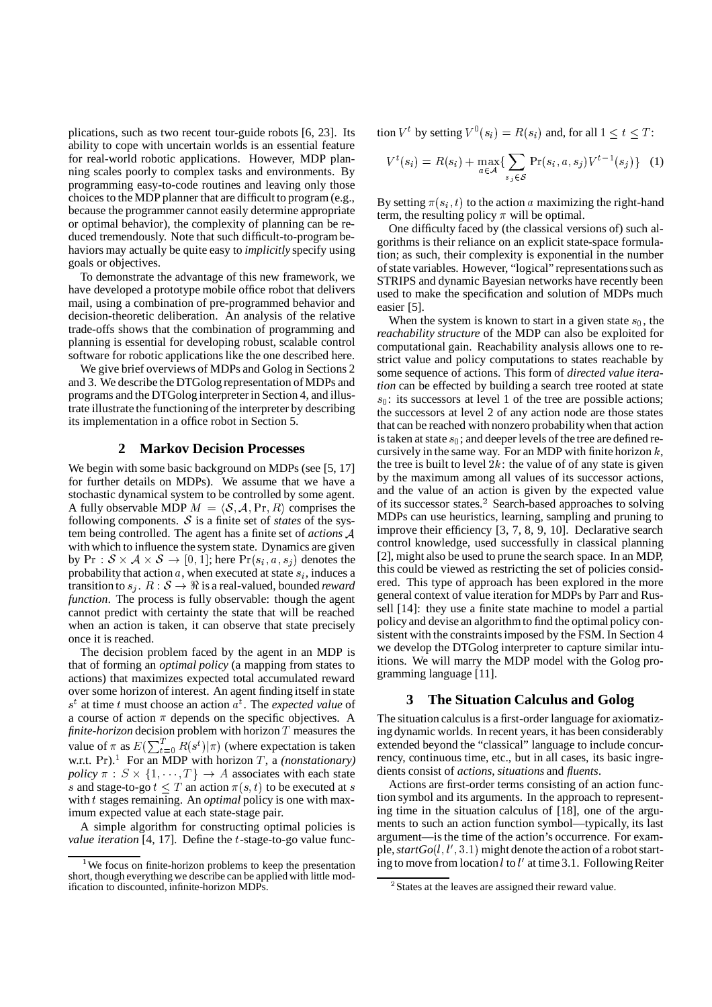plications, such as two recent tour-guide robots [6, 23]. Its ability to cope with uncertain worlds is an essential feature for real-world robotic applications. However, MDP planning scales poorly to complex tasks and environments. By programming easy-to-code routines and leaving only those choices to the MDP planner that are difficult to program (e.g., because the programmer cannot easily determine appropriate or optimal behavior), the complexity of planning can be reduced tremendously. Note that such difficult-to-program behaviors may actually be quite easy to *implicitly* specify using goals or objectives.

To demonstrate the advantage of this new framework, we have developed a prototype mobile office robot that delivers mail, using a combination of pre-programmed behavior and decision-theoretic deliberation. An analysis of the relative trade-offs shows that the combination of programming and planning is essential for developing robust, scalable control software for robotic applications like the one described here.

We give brief overviews of MDPs and Golog in Sections 2 and 3. We describe the DTGolog representation of MDPs and programs and the DTGolog interpreterin Section 4, and illustrate illustrate the functioningof the interpreter by describing its implementation in a office robot in Section 5.

### **2 Markov Decision Processes**

We begin with some basic background on MDPs (see [5, 17] for further details on MDPs). We assume that we have a stochastic dynamical system to be controlled by some agent. A fully observable MDP  $M = \langle S, A, \text{Pr}, R \rangle$  comprises the following components.  $S$  is a finite set of *states* of the system being controlled. The agent has a finite set of *actions* with which to influence the system state. Dynamics are given by  $Pr : \mathcal{S} \times \mathcal{A} \times \mathcal{S} \rightarrow [0,1]$ ; here  $Pr(s_i, a, s_j)$  denotes the probability that action  $a$ , when executed at state  $s_i$ , induces a transition to  $s_i$ .  $R : \mathcal{S} \to \Re$  is a real-valued, bounded *reward function*. The process is fully observable: though the agent cannot predict with certainty the state that will be reached when an action is taken, it can observe that state precisely once it is reached.

The decision problem faced by the agent in an MDP is that of forming an *optimal policy* (a mapping from states to actions) that maximizes expected total accumulated reward over some horizon of interest. An agent finding itself in state  $s<sup>t</sup>$  at time t must choose an action  $a<sup>t</sup>$ . The *expected value* of a course of action  $\pi$  depends on the specific objectives. A *finite-horizon* decision problem with horizon  $T$  measures the value of  $\pi$  as  $E(\sum_{t=0}^{T} R(s^t) | \pi)$  (where expectation is taken w.r.t.  $Pr$ ).<sup>1</sup> For an MDP with horizon T, a *(nonstationary) policy*  $\pi$  :  $S \times \{1, \dots, T\}$   $\rightarrow$  *A* associates with each state s and stage-to-go  $t \leq T$  an action  $\pi(s, t)$  to be executed at s with t stages remaining. An *optimal* policy is one with maximum expected value at each state-stage pair.

A simple algorithm for constructing optimal policies is *value iteration* [4, 17]. Define the *t*-stage-to-go value function  $V^t$  by setting  $V^0(s_i) = R(s_i)$  and, for all  $1 \le t \le T$ :

$$
V^{t}(s_{i}) = R(s_{i}) + \max_{a \in \mathcal{A}} \{ \sum_{s_{j} \in \mathcal{S}} \Pr(s_{i}, a, s_{j}) V^{t-1}(s_{j}) \} \quad (1)
$$

By setting  $\pi(s_i, t)$  to the action a maximizing the right-hand term, the resulting policy  $\pi$  will be optimal.

One difficulty faced by (the classical versions of) such algorithms is their reliance on an explicit state-space formulation; as such, their complexity is exponential in the number of state variables. However, "logical" representations such as STRIPS and dynamic Bayesian networks have recently been used to make the specification and solution of MDPs much easier [5].

When the system is known to start in a given state  $s_0$ , the *reachability structure* of the MDP can also be exploited for computational gain. Reachability analysis allows one to restrict value and policy computations to states reachable by some sequence of actions. This form of *directed value iteration* can be effected by building a search tree rooted at state  $s_0$ : its successors at level 1 of the tree are possible actions; the successors at level 2 of any action node are those states that can be reached with nonzero probabilitywhen that action is taken at state  $s_0$ ; and deeper levels of the tree are defined recursively in the same way. For an MDP with finite horizon  $k$ , the tree is built to level  $2k$ : the value of of any state is given by the maximum among all values of its successor actions, and the value of an action is given by the expected value of its successor states.<sup>2</sup> Search-based approaches to solving MDPs can use heuristics, learning, sampling and pruning to improve their efficiency [3, 7, 8, 9, 10]. Declarative search control knowledge, used successfully in classical planning [2], might also be used to prune the search space. In an MDP, this could be viewed as restricting the set of policies considered. This type of approach has been explored in the more general context of value iteration for MDPs by Parr and Russell [14]: they use a finite state machine to model a partial policy and devise an algorithmto find the optimal policy consistent with the constraints imposed by the FSM. In Section 4 we develop the DTGolog interpreter to capture similar intuitions. We will marry the MDP model with the Golog programming language [11].

# **3 The Situation Calculus and Golog**

The situation calculus is a first-order language for axiomatizing dynamic worlds. In recent years, it has been considerably extended beyond the "classical" language to include concurrency, continuous time, etc., but in all cases, its basic ingredients consist of *actions*, *situations* and *fluents*.

Actions are first-order terms consisting of an action function symbol and its arguments. In the approach to representing time in the situation calculus of [18], one of the arguments to such an action function symbol—typically, its last argument—is the time of the action's occurrence. For example,  $startGo(l, l', 3.1)$  might denote the action of a robot starting to move from location  $l$  to  $l'$  at time 3.1. Following Reiter

<sup>&</sup>lt;sup>1</sup>We focus on finite-horizon problems to keep the presentation short, though everything we describe can be applied with little modification to discounted, infinite-horizon MDPs.

<sup>&</sup>lt;sup>2</sup> States at the leaves are assigned their reward value.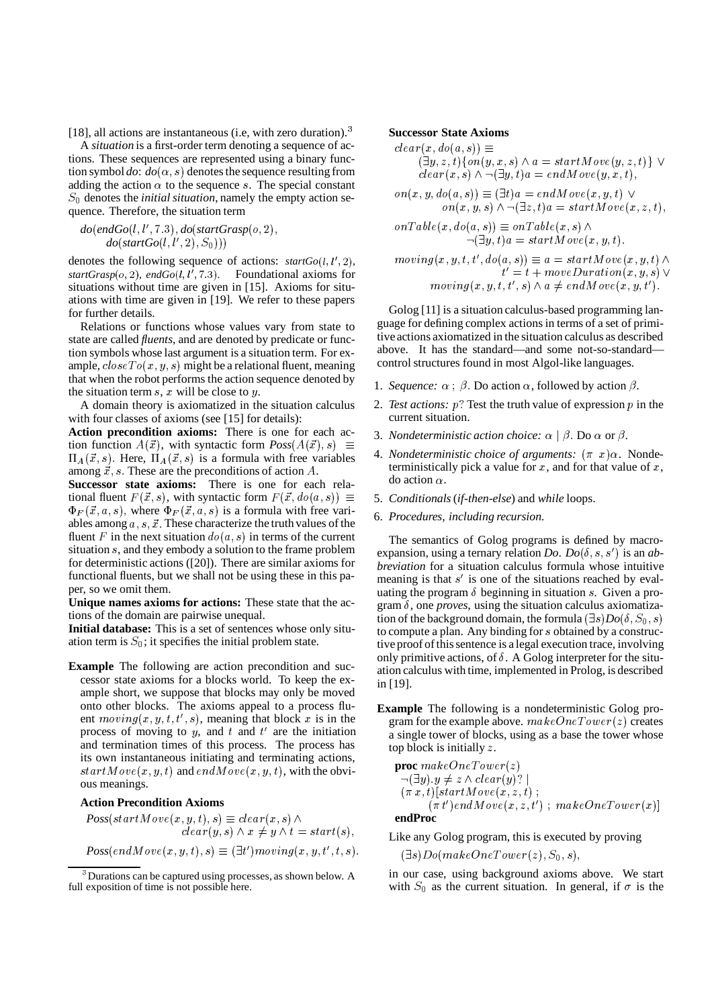[18], all actions are instantaneous (i.e, with zero duration).<sup>3</sup>

A *situation* is a first-order term denoting a sequence of actions. These sequences are represented using a binary function symbol  $do: do(\alpha, s)$  denotes the sequence resulting from adding the action  $\alpha$  to the sequence s. The special constant  $S_0$  denotes the *initial situation*, namely the empty action sequence. Therefore, the situation term

$$
do(endGo(l, l', 7.3), do(statGrasp(o, 2), do(statGo(l, l', 2), S_0)))
$$

denotes the following sequence of actions:  $startGo(l, l', 2)$ ,  $startGrasp(o, 2)$ ,  $endGo(l, l')$  . Foundational axioms for situations without time are given in [15]. Axioms for situations with time are given in [19]. We refer to these papers for further details.

Relations or functions whose values vary from state to state are called *fluents*, and are denoted by predicate or function symbols whose last argument is a situation term. For example,  $closeTo(x, y, s)$  might be a relational fluent, meaning that when the robot performs the action sequence denoted by the situation term  $s$ ,  $x$  will be close to  $y$ .

A domain theory is axiomatized in the situation calculus with four classes of axioms (see [15] for details):

**Action precondition axioms:** There is one for each action function  $A(\vec{x})$ , with syntactic form  $Poss(A(\vec{x}), s) \equiv$  $\Pi_A(\vec{x}, s)$ . Here,  $\Pi_A(\vec{x}, s)$  is a formula with free variables among  $\vec{x}$ , s. These are the preconditions of action A.

**Successor state axioms:** There is one for each relational fluent  $F(\vec{x}, s)$ , with syntactic form  $F(\vec{x}, do(a, s)) \equiv 5$ . Condition  $\Phi_F(\vec{x}, a, s)$ , where  $\Phi_F(\vec{x}, a, s)$  is a formula with free variables among  $a, s, \vec{x}$ . These characterize the truth values of the fluent F in the next situation  $do(a, s)$  in terms of the current situation  $s$ , and they embody a solution to the frame problem for deterministic actions ([20]). There are similar axioms for functional fluents, but we shall not be using these in this paper, so we omit them.

**Unique names axioms for actions:** These state that the actions of the domain are pairwise unequal.

**Initial database:** This is a set of sentences whose only situation term is  $S_0$ ; it specifies the initial problem state.

**Example** The following are action precondition and successor state axioms for a blocks world. To keep the example short, we suppose that blocks may only be moved onto other blocks. The axioms appeal to a process fluent  $moving(x, y, t, t', s)$ , meaning that block x is in the process of moving to y, and t and  $t'$  are the initiation and termination times of this process. The process has its own instantaneous initiating and terminating actions,  $startMove(x, y, t)$  and  $endMove(x, y, t)$ , with the obvious meanings.

### **Action Precondition Axioms**

 $Poss(startMove(x, y, t), s) \equiv clear(x, s) \wedge$  $clear(y, s) \wedge x \neq y \wedge t = start(s),$  $Poss(endMove(x, y, t), s) \equiv (\exists t') moving(x, y, t', t, s).$ 

### **Successor State Axioms**

 $clear(x, do(a, s)) \equiv$  $(\exists y, z, t)$  {  $on(y, x, s) \wedge a = startMove(y, z, t)$  }  $\vee$  $clear(x, s) \wedge \neg (\exists y, t)a = endMove(y, x, t),$ 

$$
on(x, y, do(a, s)) \equiv (\exists t)a = endMove(x, y, t) \lor on(x, y, s) \land \neg (\exists z, t)a = startMove(x, z, t), onTable(x, do(a, s)) \equiv onTable(x, s) \land
$$

$$
\neg (\exists y, t) a = start \,\widetilde{M}ove(x, y, t).
$$

 $moving(x, y, t, t', do(a, s)) \equiv a = startMove(x, y, t) \wedge$  $t' = t + moveDuration(x, y, s) \vee$  $moving(x, y, t, t', s) \wedge a \neq endMove(x, y, t').$ 

Golog [11] is a situation calculus-based programming language for defining complex actions in terms of a set of primitive actions axiomatized in the situation calculus as described above. It has the standard—and some not-so-standard control structures found in most Algol-like languages.

- 1. *Sequence:*  $\alpha$ ;  $\beta$ . Do action  $\alpha$ , followed by action  $\beta$ .
- 2. *Test actions:*  $p$ ? Test the truth value of expression  $p$  in the current situation.
- 3. *Nondeterministic action choice:*  $\alpha \mid \beta$ . Do  $\alpha$  or  $\beta$ .
- 4. *Nondeterministic choice of arguments:*  $(\pi \ x) \alpha$ . Nondeterministically pick a value for  $x$ , and for that value of  $x$ , do action  $\alpha$ .
- 5. *Conditionals* (*if-then-else*) and *while* loops.
- 6. *Procedures, including recursion.*

The semantics of Golog programs is defined by macroexpansion, using a ternary relation *Do.*  $Do(\delta, s, s')$  is an *abbreviation* for a situation calculus formula whose intuitive meaning is that  $s'$  is one of the situations reached by evaluating the program  $\delta$  beginning in situation s. Given a program  $\delta$ , one *proves*, using the situation calculus axiomatization of the background domain, the formula  $(\exists s) Do(\delta, S_0, s)$ to compute a plan. Any binding for  $s$  obtained by a constructive proof of this sentence is a legal execution trace, involving only primitive actions, of  $\delta$ . A Golog interpreter for the situation calculus with time, implemented in Prolog, is described in [19].

**Example** The following is a nondeterministic Golog program for the example above.  $makeOne Tower(z)$  creates a single tower of blocks, using as a base the tower whose top block is initially  $z$ .

**proc** 
$$
makeOne Tower(z)
$$
  
\n¬(∃y). $y \neq z \land clear(y)$ ? |  
\n( $\pi x, t$ )[startMove(x, z, t);  
\n( $\pi t'$ ) endMove(x, z, t'); makeOneTour(x)]  
\nendProc

#### **endProc**

Like any Golog program, this is executed by proving

 $(\exists s) Do(makeOne Tower(z), S_0, s),$ 

in our case, using background axioms above. We start with  $S_0$  as the current situation. In general, if  $\sigma$  is the

<sup>&</sup>lt;sup>3</sup> Durations can be captured using processes, as shown below. A full exposition of time is not possible here.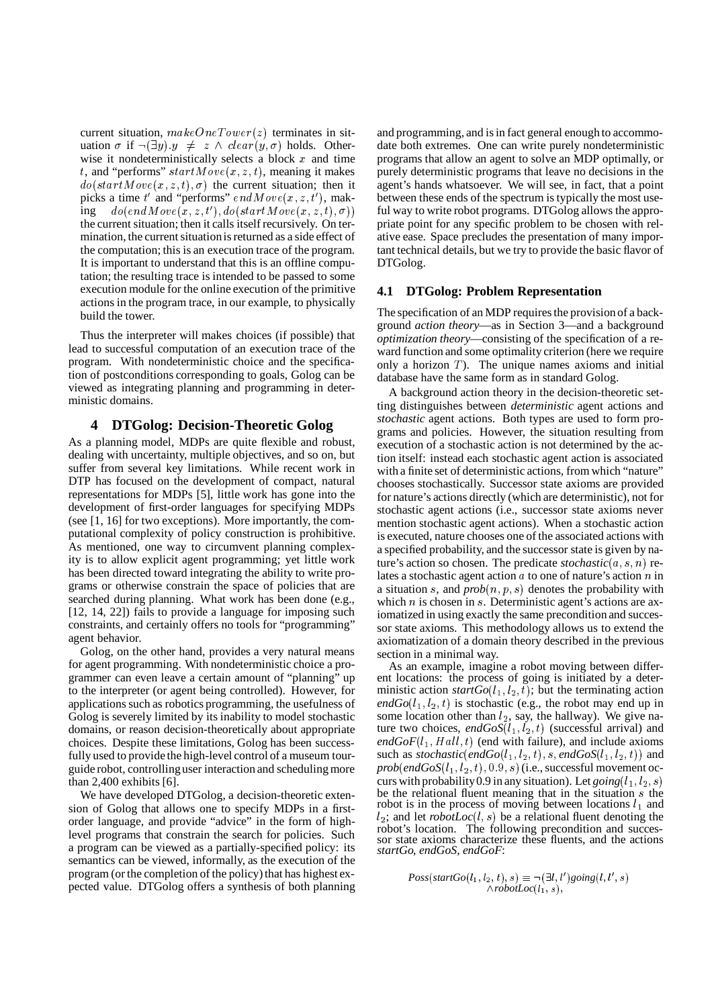current situation,  $makeOne Tower(z)$  terminates in situation  $\sigma$  if  $\neg(\exists y) \cdot y \neq z \land clear(y, \sigma)$  holds. Otherwise it nondeterministically selects a block  $x$  and time t, and "performs"  $startMove(x, z, t)$ , meaning it makes  $do(startMove(x, z, t), \sigma)$  the current situation; then it picks a time t' and "performs"  $endMove(x, z, t')$ , mak- $\text{ing}\quad do (endMove(x,z,t'), do (startMove(x,z,t),\sigma))\quad\quad$ the current situation; then it calls itself recursively. On termination, the current situation is returned as a side effect of the computation; this is an execution trace of the program. It is important to understand that this is an offline computation; the resulting trace is intended to be passed to some execution module for the online execution of the primitive actions in the program trace, in our example, to physically build the tower.

Thus the interpreter will makes choices (if possible) that lead to successful computation of an execution trace of the program. With nondeterministic choice and the specification of postconditions corresponding to goals, Golog can be viewed as integrating planning and programming in deterministic domains.

# **4 DTGolog: Decision-Theoretic Golog**

As a planning model, MDPs are quite flexible and robust, dealing with uncertainty, multiple objectives, and so on, but suffer from several key limitations. While recent work in DTP has focused on the development of compact, natural representations for MDPs [5], little work has gone into the development of first-order languages for specifying MDPs (see [1, 16] for two exceptions). More importantly, the computational complexity of policy construction is prohibitive. As mentioned, one way to circumvent planning complexity is to allow explicit agent programming; yet little work has been directed toward integrating the ability to write programs or otherwise constrain the space of policies that are searched during planning. What work has been done (e.g., [12, 14, 22]) fails to provide a language for imposing such constraints, and certainly offers no tools for "programming" agent behavior.

Golog, on the other hand, provides a very natural means for agent programming. With nondeterministic choice a programmer can even leave a certain amount of "planning" up to the interpreter (or agent being controlled). However, for applications such as robotics programming, the usefulness of Golog is severely limited by its inability to model stochastic domains, or reason decision-theoretically about appropriate choices. Despite these limitations, Golog has been successfully used to provide the high-level control of a museum tourguide robot, controllinguser interaction and schedulingmore than 2,400 exhibits [6].

We have developed DTGolog, a decision-theoretic extension of Golog that allows one to specify MDPs in a firstorder language, and provide "advice" in the form of highlevel programs that constrain the search for policies. Such a program can be viewed as a partially-specified policy: its semantics can be viewed, informally, as the execution of the program (or the completion of the policy) that has highest expected value. DTGolog offers a synthesis of both planning

 $\sigma$ ) ful way to write robot programs. DTGolog allows the approand programming, and isin fact general enough to accommodate both extremes. One can write purely nondeterministic programs that allow an agent to solve an MDP optimally, or purely deterministic programs that leave no decisions in the agent's hands whatsoever. We will see, in fact, that a point between these ends of the spectrum is typically the most usepriate point for any specific problem to be chosen with relative ease. Space precludes the presentation of many important technical details, but we try to provide the basic flavor of DTGolog.

# **4.1 DTGolog: Problem Representation**

The specification of an MDP requires the provision of a background *action theory*—as in Section 3—and a background *optimization theory*—consisting of the specification of a reward function and some optimality criterion (here we require only a horizon  $T$ ). The unique names axioms and initial database have the same form as in standard Golog.

A background action theory in the decision-theoretic setting distinguishes between *deterministic* agent actions and *stochastic* agent actions. Both types are used to form programs and policies. However, the situation resulting from execution of a stochastic action is not determined by the action itself: instead each stochastic agent action is associated with a finite set of deterministic actions, from which "nature" chooses stochastically. Successor state axioms are provided for nature's actions directly (which are deterministic), not for stochastic agent actions (i.e., successor state axioms never mention stochastic agent actions). When a stochastic action is executed, nature chooses one of the associated actions with a specified probability, and the successor state is given by nature's action so chosen. The predicate *stochastic* $(a, s, n)$  relates a stochastic agent action  $a$  to one of nature's action  $n$  in a situation s, and  $prob(n, p, s)$  denotes the probability with which  $n$  is chosen in  $s$ . Deterministic agent's actions are axiomatized in using exactly the same precondition and successor state axioms. This methodology allows us to extend the axiomatization of a domain theory described in the previous section in a minimal way.

As an example, imagine a robot moving between different locations: the process of going is initiated by a deterministic action  $startGo(l_1, l_2, t)$ ; but the terminating action  $endGo(l_1, l_2, t)$  is stochastic (e.g., the robot may end up in some location other than  $l_2$ , say, the hallway). We give nature two choices,  $endGoS(l_1, l_2, t)$  (successful arrival) and  $endGoF(l_1, Hall, t)$  (end with failure), and include axioms such as *stochastic*(*endGo*( $l_1$ , $l_2$ , $t$ ), *s*, *endGoS*( $l_1$ , $l_2$ , $t$ )) and  $prob(endGoS(l_{\,},\,l_{\,2},\,t),$   $0.9,\,s)$  (i.e., successful movement occurs with probability 0.9 in any situation). Let  $going(l_1, l_2, s)$ be the relational fluent meaning that in the situation  $s$  the robot is in the process of moving between locations  $l_1$  and  $l_2$ ; and let *robotLoc*( $l, s$ ) be a relational fluent denoting the robot's location. The following precondition and successor state axioms characterize these fluents, and the actions *startGo*, *endGoS*, *endGoF*:

> $Poss(startGo(l_1, l_2, t), s) \equiv \neg (\exists l, l') going(l, l', s)$  $\wedge$ *robotLoc*( $l_1, s$ ),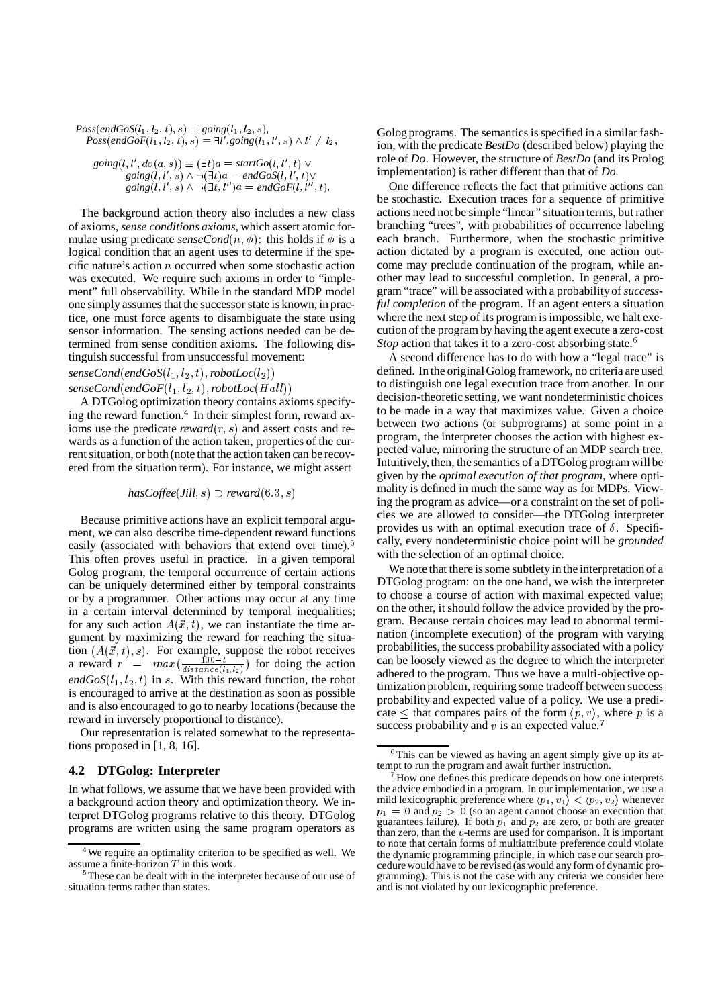$Poss(endGoS(l_1, l_2, t), s) \equiv going(l_1, l_2, s),$  $Poss(endGoF(l<sub>1</sub>, l<sub>2</sub>, t), s) \equiv \exists l'$ .  $going(l<sub>1</sub>, l', s) \wedge l' \neq l<sub>2</sub>$ ,  $going(l, l', do(a, s)) \equiv (\exists t)a = startGo(l, l', t) \vee$  $going(l, l', s) \land \neg (\exists t) a = endGoS(l, l', t$  $\begin{aligned} \operatorname{going}(i, i', s) \wedge \neg (\exists t, l'')a = endGoF(l, l'', t), \end{aligned}$ 

The background action theory also includes a new class of axioms, *sense conditions axioms*, which assert atomic formulae using predicate *senseCond* $(n, \phi)$ : this holds if  $\phi$  is a logical condition that an agent uses to determine if the specific nature's action  $n$  occurred when some stochastic action was executed. We require such axioms in order to "implement" full observability. While in the standard MDP model one simply assumes that the successor state is known, in practice, one must force agents to disambiguate the state using sensor information. The sensing actions needed can be determined from sense condition axioms. The following distinguish successful from unsuccessful movement:

 $senseCond(endGoS(l_1,l_2,t), robotLoc(l_2))$  $\emph{senseCond} (endGoF(l_1,l_2,t), robotLoc(Hall))$ 

<sup>D</sup> <sup>f</sup> A DTGolog optimization theory contains axioms specifying the reward function.<sup>4</sup> In their simplest form, reward axioms use the predicate *reward* $(r, s)$  and assert costs and rewards as a function of the action taken, properties of the current situation, or both (note that the action taken can be recovered from the situation term). For instance, we might assert

$$
hasCoffee(Jill, s) \supset \text{reward}(6.3, s)
$$

Because primitive actions have an explicit temporal argument, we can also describe time-dependent reward functions easily (associated with behaviors that extend over time).<sup>5</sup> This often proves useful in practice. In a given temporal Golog program, the temporal occurrence of certain actions can be uniquely determined either by temporal constraints or by a programmer. Other actions may occur at any time in a certain interval determined by temporal inequalities; for any such action  $A(\vec{x}, t)$ , we can instantiate the time argument by maximizing the reward for reaching the situation  $(A(\vec{x}, t), s)$ . For example, suppose the robot receives a reward  $r = max(\frac{100-t}{distance(l, l_0)})$  for doing the action  $endGoS(l_1, l_2, t)$  in s. With this reward function, the robot is encouraged to arrive at the destination as soon as possible and is also encouraged to go to nearby locations (because the reward in inversely proportional to distance).

Our representation is related somewhat to the representations proposed in [1, 8, 16].

# **4.2 DTGolog: Interpreter**

In what follows, we assume that we have been provided with a background action theory and optimization theory. We interpret DTGolog programs relative to this theory. DTGolog programs are written using the same program operators as Golog programs. The semantics is specified in a similar fashion, with the predicate *BestDo* (described below) playing the role of *Do*. However, the structure of *BestDo* (and its Prolog implementation) is rather different than that of *Do*.

 each branch. Furthermore, when the stochastic primitive One difference reflects the fact that primitive actions can be stochastic. Execution traces for a sequence of primitive actions need not be simple "linear" situation terms, but rather branching "trees", with probabilities of occurrence labeling action dictated by a program is executed, one action outcome may preclude continuation of the program, while another may lead to successful completion. In general, a program "trace" will be associated with a probabilityof *successful completion* of the program. If an agent enters a situation where the next step of its program is impossible, we halt execution of the program by having the agent execute a zero-cost *Stop* action that takes it to a zero-cost absorbing state.<sup>6</sup>

A second difference has to do with how a "legal trace" is defined. In the original Golog framework, no criteria are used to distinguish one legal execution trace from another. In our decision-theoretic setting, we want nondeterministic choices to be made in a way that maximizes value. Given a choice between two actions (or subprograms) at some point in a program, the interpreter chooses the action with highest expected value, mirroring the structure of an MDP search tree. Intuitively, then, the semantics of a DTGolog program willbe given by the *optimal execution of that program*, where optimality is defined in much the same way as for MDPs. Viewing the program as advice—or a constraint on the set of policies we are allowed to consider—the DTGolog interpreter provides us with an optimal execution trace of  $\delta$ . Specifically, every nondeterministic choice point will be *grounded* with the selection of an optimal choice.

We note that there is some subtlety in the interpretation of a DTGolog program: on the one hand, we wish the interpreter to choose a course of action with maximal expected value; on the other, it should follow the advice provided by the program. Because certain choices may lead to abnormal termination (incomplete execution) of the program with varying probabilities, the success probability associated with a policy can be loosely viewed as the degree to which the interpreter adhered to the program. Thus we have a multi-objective optimization problem, requiring some tradeoff between success probability and expected value of a policy. We use a predicate  $\leq$  that compares pairs of the form  $\langle p, v \rangle$ , where p is a success probability and  $v$  is an expected value.<sup>7</sup>

 $4$ We require an optimality criterion to be specified as well. We assume a finite-horizon  $T$  in this work.

 $5$ These can be dealt with in the interpreter because of our use of situation terms rather than states.

 $6$ This can be viewed as having an agent simply give up its attempt to run the program and await further instruction.

<sup>&</sup>lt;sup>7</sup> How one defines this predicate depends on how one interprets the advice embodied in a program. In our implementation, we use a mild lexicographic preference where  $\langle p_1, v_1 \rangle < \langle p_2, v_2 \rangle$  whenever  $p_1 = 0$  and  $p_2 > 0$  (so an agent cannot choose an execution that guarantees failure). If both  $p_1$  and  $p_2$  are zero, or both are greater than zero, than the  $v$ -terms are used for comparison. It is important to note that certain forms of multiattribute preference could violate the dynamic programming principle, in which case our search procedurewould have to be revised (as would any form of dynamic programming). This is not the case with any criteria we consider here and is not violated by our lexicographic preference.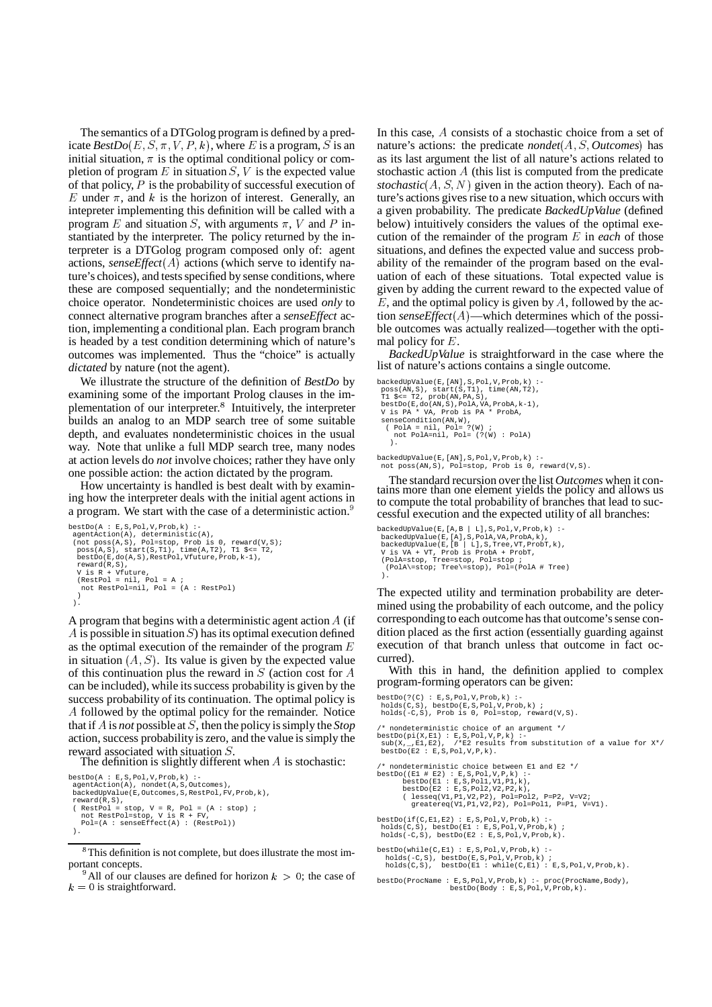The semantics of a DTGolog program is defined by a predicate  $\text{BestDo}(E, S, \pi, V, P, k)$ , where  $E$  is a program,  $S$  is an atu initial situation,  $\pi$  is the optimal conditional policy or completion of program  $E$  in situation  $S$ ,  $V$  is the expected value of that policy,  $P$  is the probability of successful execution of E under  $\pi$ , and k is the horizon of interest. Generally, an intepreter implementing this definition will be called with a program E and situation S, with arguments  $\pi$ , V and P in- below) stantiated by the interpreter. The policy returned by the interpreter is a DTGolog program composed only of: agent actions, *senseEffect*( $A$ ) actions (which serve to identify nature's choices), and tests specified by sense conditions, where these are composed sequentially; and the nondeterministic choice operator. Nondeterministic choices are used *only* to connect alternative program branches after a *senseEffect* action, implementing a conditional plan. Each program branch is headed by a test condition determining which of nature's outcomes was implemented. Thus the "choice" is actually *dictated* by nature (not the agent).

We illustrate the structure of the definition of *BestDo* by examining some of the important Prolog clauses in the implementation of our interpreter.<sup>8</sup> Intuitively, the interpreter builds an analog to an MDP search tree of some suitable depth, and evaluates nondeterministic choices in the usual way. Note that unlike a full MDP search tree, many nodes at action levels do *not* involve choices; rather they have only one possible action: the action dictated by the program.

How uncertainty is handled is best dealt with by examining how the interpreter deals with the initial agent actions in a program. We start with the case of a deterministic action.

```
\mathtt{bestDo(A : E, S, Pol, V, Prob, k)}:agentAction(A), deterministic(A),<br>
(not poss(A,S), Pol=stop, Prob is 0, reward(V,S);<br>
poss(A,S), start(S,T1), time(A,T2), T1 $<= T2,<br>
bestDo(E,do(A,S),RestPol,Vfuture,Prob,k-1),
    reward(R,S),
    V is R + Vfuture,
     (RestPol = nil, Pol = A ;
not RestPol=nil, Pol = (A : RestPol)
     )
  ).
```
A program that begins with a deterministic agent action  $A$  (if corresponding A is possible in situation  $S$ ) has its optimal execution defined as the optimal execution of the remainder of the program  $E$ in situation  $(A, S)$ . Its value is given by the expected value of this continuation plus the reward in  $S$  (action cost for  $A$  With the can be included), while its success probability is given by the success probability of its continuation. The optimal policy is <sup>M</sup> followed by the optimal policy for the remainder. Notice that if  $\overline{A}$  is *not* possible at  $S$ , then the policy is simply the *Stop* action, success probabilityis zero, and the value is simply the reward associated with situation S.

The definition is slightly different when  $A$  is stochastic:

```
bestDo(A : E,S,Pol,V,Prob,k) :-
agentAction(A), nondet(A,S,Outcomes),
backedUpValue(E,Outcomes,S,RestPol,FV,Prob,k),
  reward(R,S),
( RestPol = stop, V = R, Pol = (A : stop) ;
not RestPol=stop, V is R + FV,
Pol=(A : senseEffect(A) : (RestPol))
  ).
```

```
{}^8This definition is not complete, but does illustrate the most im-
portant concepts.
```

```
<sup>9</sup>All of our clauses are defined for horizon k > 0; the case of
k = 0 is straightforward.
```
In this case, A consists of a stochastic choice from a set of nature's actions: the predicate *nondet* $(A, S, Outcomes)$  has as its last argument the list of all nature's actions related to stochastic action  $A$  (this list is computed from the predicate  $stochastic(A, S, N)$  given in the action theory). Each of nature's actions gives rise to a new situation, which occurs with a given probability. The predicate *BackedUpValue* (defined below) intuitively considers the values of the optimal execution of the remainder of the program  $E$  in *each* of those situations, and defines the expected value and success probability of the remainder of the program based on the evaluation of each of these situations. Total expected value is given by adding the current reward to the expected value of  $E$ , and the optimal policy is given by  $A$ , followed by the action *senseEffect* $(A)$ —which determines which of the possible outcomes was actually realized—together with the optimal policy for  $E$ .

*BackedUpValue* is straightforward in the case where the list of nature's actions contains a single outcome.

```
backedUpValue(E,[AN],S,Pol,V,Prob,k) :-
  poss(AN,S), start(S,T1), time(AN,T2),
T1 $<= T2, prob(AN,PA,S),
  bestDo(E,do(AN,S),PolA,VA,ProbA,k-1),<br>V is PA * VA, Prob is PA * ProbA,<br>senseCondition(AN,W),<br>( PolA = nil, Pol= ?(W) ;
       not PolA=nil, Pol= (?(W) : PolA)
     ).
```
backedUpValue(E,[AN],S,Pol,V,Prob,k) :- not poss(AN,S), Pol=stop, Prob is 0, reward(V,S).

The standard recursion over the list *Outcomes* when it contains more than one element yields the policy and allows us to compute the total probability of branches that lead to successful execution and the expected utility of all branches:

```
backedUpValue(E,[A,B | L], S,Pol, V,Prob, k)<br>backedUpValue(E,[A], S,PolA, VA,ProbA, k),<br>backedUpValue(E,[A], S,PolA, VA,ProbT, k),<br>V is VA + VT, Prob is ProbA + ProbT,<br>(PolA=stop, Tree=stop, Pol=stop; CPolA=for<br>(PolA=st
  ).
```
The expected utility and termination probability are determined using the probability of each outcome, and the policy corresponding to each outcome has that outcome's sense condition placed as the first action (essentially guarding against execution of that branch unless that outcome in fact occurred).

With this in hand, the definition applied to complex program-forming operators can be given:

```
bestDo(?(C) : E,S,Pol,V,Prob,k) :-
holds(C,S), bestDo(E,S,Pol,V,Prob,k) ;
holds(-C,S), Prob is 0, Pol=stop, reward(V,S).
/* nondeterministic choice of an argument */<br>bestDo(pi(X,E1) : E,S,Pol,V,P,k) :-<br>sub(X,_,E1,E2), /*E2 results from substitution of a value for X*/<br>bestDo(E2 : E,S,Pol,V,P,k).
    /* nondeterministic choice between E1 and E2 */
bestDo((E1 # E2) : E,S,Pol,V,P,k) :-
bestDo(E1 : E,S,Pol1,V1,P1,k),
bestDo(E2 : E,S,Pol2,V2,P2,k),
( lesseq(V1,P1,V2,P2), Pol=Pol2, P=P2, V=V2;
                greatereq(V1, P1, V2, P2), Pol=Pol1, P=P1, V=V1).
bestDo(if(C,E1,E2) : E,S,Pol,V,Prob,k) :-
holds(C,S), bestDo(E1 : E,S,Pol,V,Prob,k) ;
holds(-C,S), bestDo(E2 : E,S,Pol,V,Prob,k).
bestDo(while(C,E1) : E,S,Pol,V,Prob,k) :-
holds(-C,S), bestDo(E,S,Pol,V,Prob,k) ;
holds(C,S), bestDo(E1 : while(C,E1) : E,S,Pol,V,Prob,k).
bestDo(ProcName : E,S,Pol,V,Prob,k) :- proc(ProcName,Body),
bestDo(Body : E,S,Pol,V,Prob,k).
```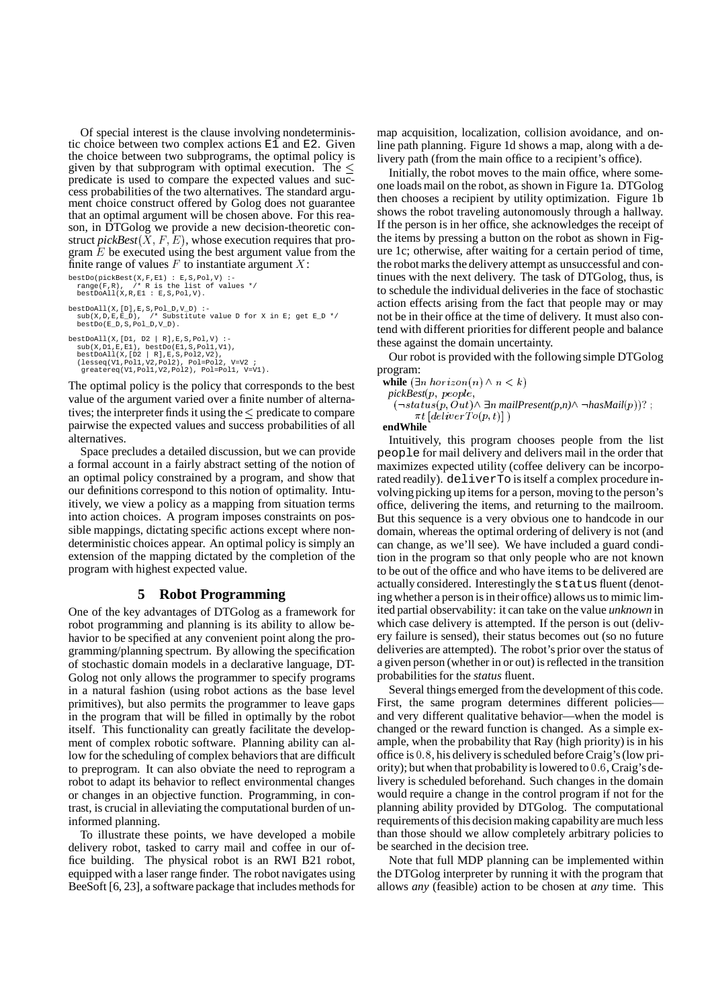Of special interest is the clause involving nondeterministic choice between two complex actions E1 and E2. Given the choice between two subprograms, the optimal policy is given by that subprogram with optimal execution. The  $\leq$ predicate is used to compare the expected values and success probabilities of the two alternatives. The standard argument choice construct offered by Golog does not guarantee that an optimal argument will be chosen above. For this reason, in DTGolog we provide a new decision-theoretic construct  $pickBest(X, F, E)$ , whose execution requires that program  $E$  be executed using the best argument value from the finite range of values  $F$  to instantiate argument  $X$ : the

```
bestDo(pickBest(X,F,E1) : E,S,Pol,V) :-
range(F,R), /* R is the list of values */
bestDoAll(X,R,E1 : E,S,Pol,V).
bestDoAll(X,[D],E,S,Pol_D,V_D) :-
sub(X,D,E,E_D), /* Substitute value D for X in E; get E_D */
   b(x,D,E,E_D), /* Subst<br>bestDo(E_D,S,Pol_D,V_D).
bestDoAll(X,[D1, D2 | R],E,S,Pol,V) :-
sub(X,D1,E,E1), bestDo(E1,S,Pol1,V1),
    bestDoAll(X,[D2 | R],E,S,Pol2,V2),
(lesseq(V1,Pol1,V2,Pol2), Pol=Pol2, V=V2 ;
greatereq(V1,Pol1,V2,Pol2), Pol=Pol1, V=V1).
```
The optimal policy is the policy that corresponds to the best value of the argument varied over a finite number of alternatives; the interpreter finds it using the  $\leq$  predicate to compare pairwise the expected values and success probabilities of all alternatives.

Space precludes a detailed discussion, but we can provide a formal account in a fairly abstract setting of the notion of an optimal policy constrained by a program, and show that our definitions correspond to this notion of optimality. Intuitively, we view a policy as a mapping from situation terms into action choices. A program imposes constraints on possible mappings, dictating specific actions except where nondeterministic choices appear. An optimal policy is simply an extension of the mapping dictated by the completion of the program with highest expected value.

# **5 Robot Programming**

One of the key advantages of DTGolog as a framework for robot programming and planning is its ability to allow behavior to be specified at any convenient point along the programming/planning spectrum. By allowing the specification of stochastic domain models in a declarative language, DT-Golog not only allows the programmer to specify programs in a natural fashion (using robot actions as the base level primitives), but also permits the programmer to leave gaps in the program that will be filled in optimally by the robot itself. This functionality can greatly facilitate the development of complex robotic software. Planning ability can allow for the scheduling of complex behaviors that are difficult to preprogram. It can also obviate the need to reprogram a robot to adapt its behavior to reflect environmental changes or changes in an objective function. Programming, in contrast, is crucial in alleviating the computational burden of uninformed planning.

To illustrate these points, we have developed a mobile delivery robot, tasked to carry mail and coffee in our office building. The physical robot is an RWI B21 robot, equipped with a laser range finder. The robot navigates using BeeSoft [6, 23], a software package that includes methods for

map acquisition, localization, collision avoidance, and online path planning. Figure 1d shows a map, along with a delivery path (from the main office to a recipient's office).

Initially, the robot moves to the main office, where someone loads mail on the robot, as shown in Figure 1a. DTGolog then chooses a recipient by utility optimization. Figure 1b shows the robot traveling autonomously through a hallway. If the person is in her office, she acknowledges the receipt of the items by pressing a button on the robot as shown in Figure 1c; otherwise, after waiting for a certain period of time, the robotmarks the delivery attempt as unsuccessful and continues with the next delivery. The task of DTGolog, thus, is to schedule the individual deliveries in the face of stochastic action effects arising from the fact that people may or may not be in their office at the time of delivery. It must also contend with different priorities for different people and balance these against the domain uncertainty.

Our robot is provided with the following simple DTGolog program:

while  $(\exists n \text{ horizon}(n) \land n < k)$  $pickBest(p, \ people,$ 

$$
(\neg status(p, Out) \land \exists n \text{ mailPresent}(p, n) \land \neg hasMail(p))?
$$
  
 
$$
\pi t [deliverTo(p, t)] )
$$

**endWhile**

Intuitively, this program chooses people from the list people for mail delivery and delivers mail in the order that maximizes expected utility (coffee delivery can be incorporated readily). deliverTo is itself a complex procedure involving picking up items for a person, moving to the person's office, delivering the items, and returning to the mailroom. But this sequence is a very obvious one to handcode in our domain, whereas the optimal ordering of delivery is not (and can change, as we'll see). We have included a guard condition in the program so that only people who are not known to be out of the office and who have items to be delivered are actually considered. Interestingly the status fluent (denoting whether a person is in their office) allows us to mimic limited partial observability: it can take on the value *unknown* in which case delivery is attempted. If the person is out (delivery failure is sensed), their status becomes out (so no future deliveries are attempted). The robot's prior over the status of a given person (whether in or out) isreflected in the transition probabilities for the *status* fluent.

Several things emerged from the development of this code. First, the same program determines different policiesand very different qualitative behavior—when the model is changed or the reward function is changed. As a simple example, when the probability that Ray (high priority) is in his office is  $0.8$ , his delivery is scheduled before Craig's (low priority); but when that probability is lowered to  $0.6$ , Craig's delivery is scheduled beforehand. Such changes in the domain would require a change in the control program if not for the planning ability provided by DTGolog. The computational requirements of this decision making capability are much less than those should we allow completely arbitrary policies to be searched in the decision tree.

Note that full MDP planning can be implemented within the DTGolog interpreter by running it with the program that allows *any* (feasible) action to be chosen at *any* time. This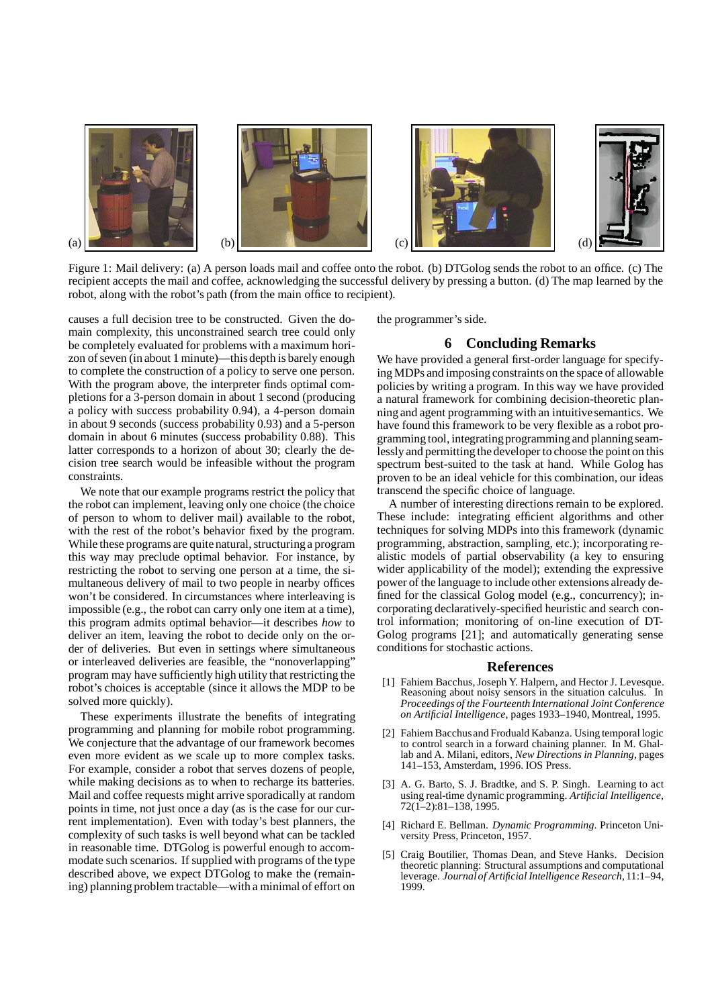

Figure 1: Mail delivery: (a) A person loads mail and coffee onto the robot. (b) DTGolog sends the robot to an office. (c) The recipient accepts the mail and coffee, acknowledging the successful delivery by pressing a button. (d) The map learned by the robot, along with the robot's path (from the main office to recipient).

causes a full decision tree to be constructed. Given the domain complexity, this unconstrained search tree could only be completely evaluated for problems with a maximum horizon of seven (in about 1 minute)—this depth is barely enough to complete the construction of a policy to serve one person. With the program above, the interpreter finds optimal completions for a 3-person domain in about 1 second (producing a policy with success probability 0.94), a 4-person domain in about 9 seconds (success probability 0.93) and a 5-person domain in about 6 minutes (success probability 0.88). This latter corresponds to a horizon of about 30; clearly the decision tree search would be infeasible without the program constraints.

We note that our example programs restrict the policy that the robot can implement, leaving only one choice (the choice of person to whom to deliver mail) available to the robot, with the rest of the robot's behavior fixed by the program. While these programs are quite natural, structuring a program this way may preclude optimal behavior. For instance, by restricting the robot to serving one person at a time, the simultaneous delivery of mail to two people in nearby offices won't be considered. In circumstances where interleaving is impossible (e.g., the robot can carry only one item at a time), this program admits optimal behavior—it describes *how* to deliver an item, leaving the robot to decide only on the order of deliveries. But even in settings where simultaneous or interleaved deliveries are feasible, the "nonoverlapping" program may have sufficiently high utility that restricting the robot's choices is acceptable (since it allows the MDP to be solved more quickly).

These experiments illustrate the benefits of integrating programming and planning for mobile robot programming. We conjecture that the advantage of our framework becomes even more evident as we scale up to more complex tasks. For example, consider a robot that serves dozens of people, while making decisions as to when to recharge its batteries. Mail and coffee requests might arrive sporadically at random points in time, not just once a day (as is the case for our current implementation). Even with today's best planners, the complexity of such tasks is well beyond what can be tackled in reasonable time. DTGolog is powerful enough to accommodate such scenarios. If supplied with programs of the type described above, we expect DTGolog to make the (remaining) planning problem tractable—with a minimal of effort on

the programmer's side.

## **6 Concluding Remarks**

We have provided a general first-order language for specifyingMDPs and imposing constraints on the space of allowable policies by writing a program. In this way we have provided a natural framework for combining decision-theoretic planning and agent programming with an intuitive semantics. We have found this framework to be very flexible as a robot programming tool, integrating programming and planning seamlessly and permitting the developer to choose the point on this spectrum best-suited to the task at hand. While Golog has proven to be an ideal vehicle for this combination, our ideas transcend the specific choice of language.

A number of interesting directions remain to be explored. These include: integrating efficient algorithms and other techniques for solving MDPs into this framework (dynamic programming, abstraction, sampling, etc.); incorporating realistic models of partial observability (a key to ensuring wider applicability of the model); extending the expressive power of the language to include other extensions already defined for the classical Golog model (e.g., concurrency); incorporating declaratively-specified heuristic and search control information; monitoring of on-line execution of DT-Golog programs [21]; and automatically generating sense conditions for stochastic actions.

#### **References**

- [1] Fahiem Bacchus, Joseph Y. Halpern, and Hector J. Levesque. Reasoning about noisy sensors in the situation calculus. In *Proceedings of the Fourteenth International Joint Conference on Artificial Intelligence*, pages 1933–1940, Montreal, 1995.
- [2] Fahiem Bacchusand Froduald Kabanza. Using temporal logic to control search in a forward chaining planner. In M. Ghallab and A. Milani, editors, *New Directionsin Planning*, pages 141–153, Amsterdam, 1996. IOS Press.
- [3] A. G. Barto, S. J. Bradtke, and S. P. Singh. Learning to act using real-time dynamic programming. *Artificial Intelligence*, 72(1–2):81–138, 1995.
- [4] Richard E. Bellman. *Dynamic Programming*. Princeton University Press, Princeton, 1957.
- [5] Craig Boutilier, Thomas Dean, and Steve Hanks. Decision theoretic planning: Structural assumptions and computational leverage. *Journal of Artificial Intelligence Research*, 11:1–94, 1999.